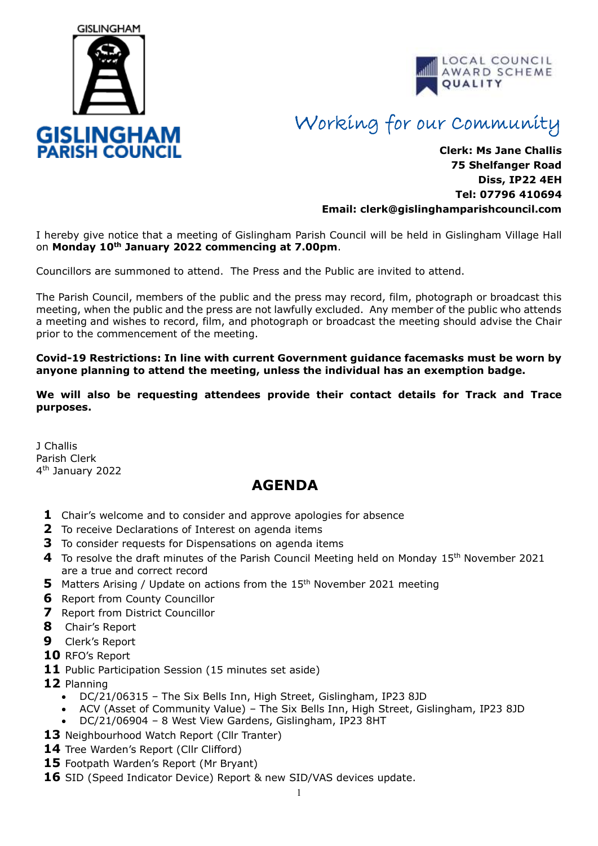



## Working for our Community

## **Clerk: Ms Jane Challis 75 Shelfanger Road Diss, IP22 4EH Tel: 07796 410694 Email: clerk[@gislinghamparishcouncil.com](mailto:gislinghamparishcouncil@gmail.com)**

I hereby give notice that a meeting of Gislingham Parish Council will be held in Gislingham Village Hall on **Monday 10 th January 2022 commencing at 7.00pm**.

Councillors are summoned to attend. The Press and the Public are invited to attend.

The Parish Council, members of the public and the press may record, film, photograph or broadcast this meeting, when the public and the press are not lawfully excluded. Any member of the public who attends a meeting and wishes to record, film, and photograph or broadcast the meeting should advise the Chair prior to the commencement of the meeting.

**Covid-19 Restrictions: In line with current Government guidance facemasks must be worn by anyone planning to attend the meeting, unless the individual has an exemption badge.** 

**We will also be requesting attendees provide their contact details for Track and Trace purposes.**

J Challis Parish Clerk 4<sup>th</sup> January 2022

## **AGENDA**

- **1** Chair's welcome and to consider and approve apologies for absence
- **2** To receive Declarations of Interest on agenda items
- **3** To consider requests for Dispensations on agenda items
- 4 To resolve the draft minutes of the Parish Council Meeting held on Monday 15<sup>th</sup> November 2021 are a true and correct record
- **5** Matters Arising / Update on actions from the 15<sup>th</sup> November 2021 meeting
- **6** Report from County Councillor
- **7** Report from District Councillor
- **8** Chair's Report
- **9** Clerk's Report
- **10** RFO's Report
- 11 Public Participation Session (15 minutes set aside)
- **12** Planning
	- DC/21/06315 The Six Bells Inn, High Street, Gislingham, IP23 8JD
	- ACV (Asset of Community Value) The Six Bells Inn, High Street, Gislingham, IP23 8JD
	- DC/21/06904 8 West View Gardens, Gislingham, IP23 8HT
- **13** Neighbourhood Watch Report (Cllr Tranter)
- 14 Tree Warden's Report (Cllr Clifford)
- **15** Footpath Warden's Report (Mr Bryant)
- **16** SID (Speed Indicator Device) Report & new SID/VAS devices update.